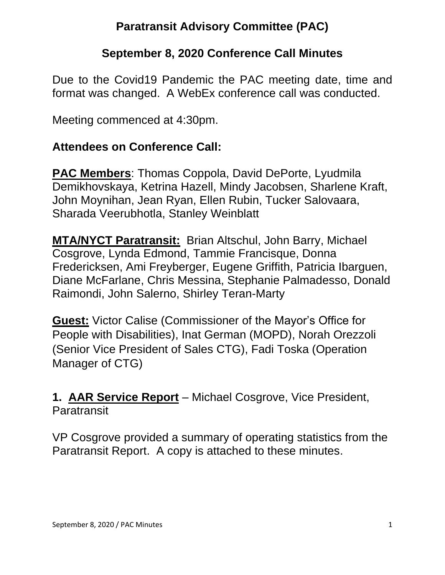#### **Paratransit Advisory Committee (PAC)**

#### **September 8, 2020 Conference Call Minutes**

Due to the Covid19 Pandemic the PAC meeting date, time and format was changed. A WebEx conference call was conducted.

Meeting commenced at 4:30pm.

#### **Attendees on Conference Call:**

**PAC Members**: Thomas Coppola, David DePorte, Lyudmila Demikhovskaya, Ketrina Hazell, Mindy Jacobsen, Sharlene Kraft, John Moynihan, Jean Ryan, Ellen Rubin, Tucker Salovaara, Sharada Veerubhotla, Stanley Weinblatt

**MTA/NYCT Paratransit:** Brian Altschul, John Barry, Michael Cosgrove, Lynda Edmond, Tammie Francisque, Donna Fredericksen, Ami Freyberger, Eugene Griffith, Patricia Ibarguen, Diane McFarlane, Chris Messina, Stephanie Palmadesso, Donald Raimondi, John Salerno, Shirley Teran-Marty

**Guest:** Victor Calise (Commissioner of the Mayor's Office for People with Disabilities), Inat German (MOPD), Norah Orezzoli (Senior Vice President of Sales CTG), Fadi Toska (Operation Manager of CTG)

**1. AAR Service Report** – Michael Cosgrove, Vice President, **Paratransit** 

VP Cosgrove provided a summary of operating statistics from the Paratransit Report. A copy is attached to these minutes.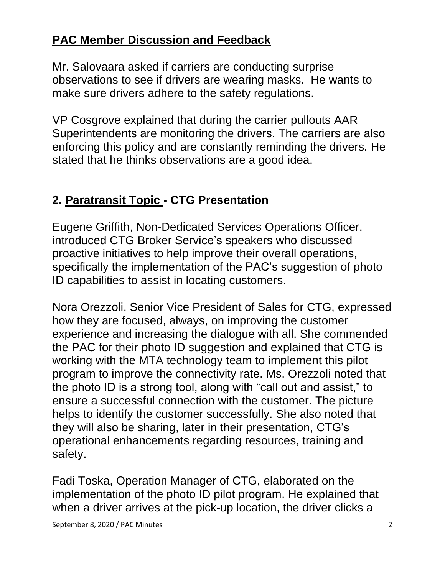#### **PAC Member Discussion and Feedback**

Mr. Salovaara asked if carriers are conducting surprise observations to see if drivers are wearing masks. He wants to make sure drivers adhere to the safety regulations.

VP Cosgrove explained that during the carrier pullouts AAR Superintendents are monitoring the drivers. The carriers are also enforcing this policy and are constantly reminding the drivers. He stated that he thinks observations are a good idea.

## **2. Paratransit Topic - CTG Presentation**

Eugene Griffith, Non-Dedicated Services Operations Officer, introduced CTG Broker Service's speakers who discussed proactive initiatives to help improve their overall operations, specifically the implementation of the PAC's suggestion of photo ID capabilities to assist in locating customers.

Nora Orezzoli, Senior Vice President of Sales for CTG, expressed how they are focused, always, on improving the customer experience and increasing the dialogue with all. She commended the PAC for their photo ID suggestion and explained that CTG is working with the MTA technology team to implement this pilot program to improve the connectivity rate. Ms. Orezzoli noted that the photo ID is a strong tool, along with "call out and assist," to ensure a successful connection with the customer. The picture helps to identify the customer successfully. She also noted that they will also be sharing, later in their presentation, CTG's operational enhancements regarding resources, training and safety.

Fadi Toska, Operation Manager of CTG, elaborated on the implementation of the photo ID pilot program. He explained that when a driver arrives at the pick-up location, the driver clicks a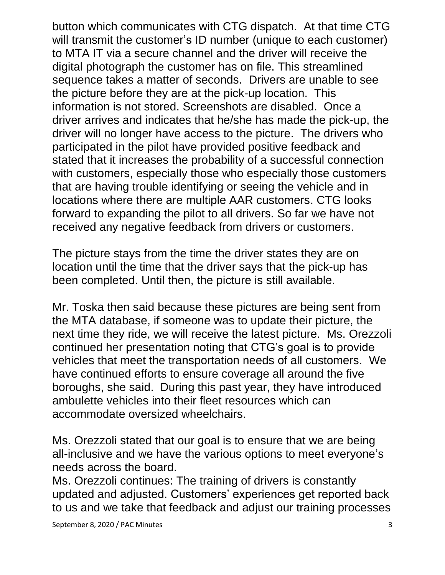button which communicates with CTG dispatch. At that time CTG will transmit the customer's ID number (unique to each customer) to MTA IT via a secure channel and the driver will receive the digital photograph the customer has on file. This streamlined sequence takes a matter of seconds. Drivers are unable to see the picture before they are at the pick-up location. This information is not stored. Screenshots are disabled. Once a driver arrives and indicates that he/she has made the pick-up, the driver will no longer have access to the picture. The drivers who participated in the pilot have provided positive feedback and stated that it increases the probability of a successful connection with customers, especially those who especially those customers that are having trouble identifying or seeing the vehicle and in locations where there are multiple AAR customers. CTG looks forward to expanding the pilot to all drivers. So far we have not received any negative feedback from drivers or customers.

The picture stays from the time the driver states they are on location until the time that the driver says that the pick-up has been completed. Until then, the picture is still available.

Mr. Toska then said because these pictures are being sent from the MTA database, if someone was to update their picture, the next time they ride, we will receive the latest picture. Ms. Orezzoli continued her presentation noting that CTG's goal is to provide vehicles that meet the transportation needs of all customers. We have continued efforts to ensure coverage all around the five boroughs, she said. During this past year, they have introduced ambulette vehicles into their fleet resources which can accommodate oversized wheelchairs.

Ms. Orezzoli stated that our goal is to ensure that we are being all-inclusive and we have the various options to meet everyone's needs across the board.

Ms. Orezzoli continues: The training of drivers is constantly updated and adjusted. Customers' experiences get reported back to us and we take that feedback and adjust our training processes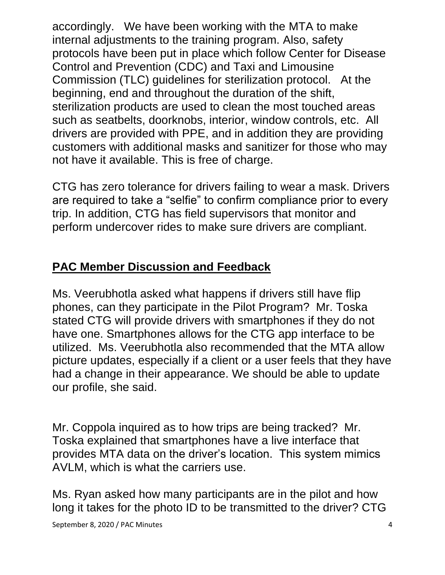accordingly. We have been working with the MTA to make internal adjustments to the training program. Also, safety protocols have been put in place which follow Center for Disease Control and Prevention (CDC) and Taxi and Limousine Commission (TLC) guidelines for sterilization protocol. At the beginning, end and throughout the duration of the shift, sterilization products are used to clean the most touched areas such as seatbelts, doorknobs, interior, window controls, etc. All drivers are provided with PPE, and in addition they are providing customers with additional masks and sanitizer for those who may not have it available. This is free of charge.

CTG has zero tolerance for drivers failing to wear a mask. Drivers are required to take a "selfie" to confirm compliance prior to every trip. In addition, CTG has field supervisors that monitor and perform undercover rides to make sure drivers are compliant.

#### **PAC Member Discussion and Feedback**

Ms. Veerubhotla asked what happens if drivers still have flip phones, can they participate in the Pilot Program? Mr. Toska stated CTG will provide drivers with smartphones if they do not have one. Smartphones allows for the CTG app interface to be utilized. Ms. Veerubhotla also recommended that the MTA allow picture updates, especially if a client or a user feels that they have had a change in their appearance. We should be able to update our profile, she said.

Mr. Coppola inquired as to how trips are being tracked? Mr. Toska explained that smartphones have a live interface that provides MTA data on the driver's location. This system mimics AVLM, which is what the carriers use.

Ms. Ryan asked how many participants are in the pilot and how long it takes for the photo ID to be transmitted to the driver? CTG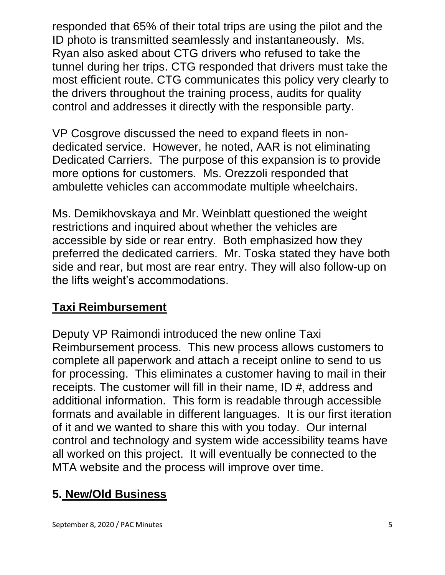responded that 65% of their total trips are using the pilot and the ID photo is transmitted seamlessly and instantaneously. Ms. Ryan also asked about CTG drivers who refused to take the tunnel during her trips. CTG responded that drivers must take the most efficient route. CTG communicates this policy very clearly to the drivers throughout the training process, audits for quality control and addresses it directly with the responsible party.

VP Cosgrove discussed the need to expand fleets in nondedicated service. However, he noted, AAR is not eliminating Dedicated Carriers. The purpose of this expansion is to provide more options for customers. Ms. Orezzoli responded that ambulette vehicles can accommodate multiple wheelchairs.

Ms. Demikhovskaya and Mr. Weinblatt questioned the weight restrictions and inquired about whether the vehicles are accessible by side or rear entry. Both emphasized how they preferred the dedicated carriers. Mr. Toska stated they have both side and rear, but most are rear entry. They will also follow-up on the lifts weight's accommodations.

#### **Taxi Reimbursement**

Deputy VP Raimondi introduced the new online Taxi Reimbursement process. This new process allows customers to complete all paperwork and attach a receipt online to send to us for processing. This eliminates a customer having to mail in their receipts. The customer will fill in their name, ID #, address and additional information. This form is readable through accessible formats and available in different languages. It is our first iteration of it and we wanted to share this with you today. Our internal control and technology and system wide accessibility teams have all worked on this project. It will eventually be connected to the MTA website and the process will improve over time.

#### **5. New/Old Business**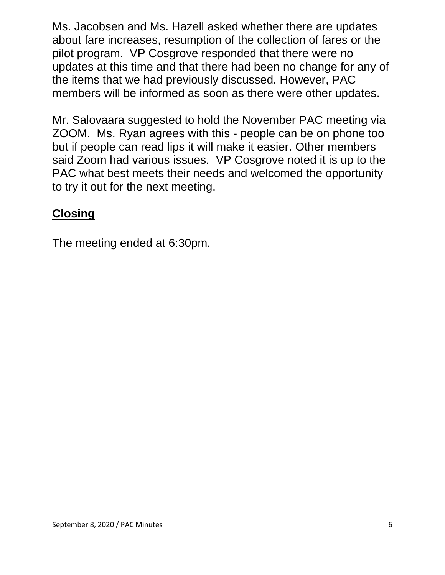Ms. Jacobsen and Ms. Hazell asked whether there are updates about fare increases, resumption of the collection of fares or the pilot program. VP Cosgrove responded that there were no updates at this time and that there had been no change for any of the items that we had previously discussed. However, PAC members will be informed as soon as there were other updates.

Mr. Salovaara suggested to hold the November PAC meeting via ZOOM. Ms. Ryan agrees with this - people can be on phone too but if people can read lips it will make it easier. Other members said Zoom had various issues. VP Cosgrove noted it is up to the PAC what best meets their needs and welcomed the opportunity to try it out for the next meeting.

## **Closing**

The meeting ended at 6:30pm.